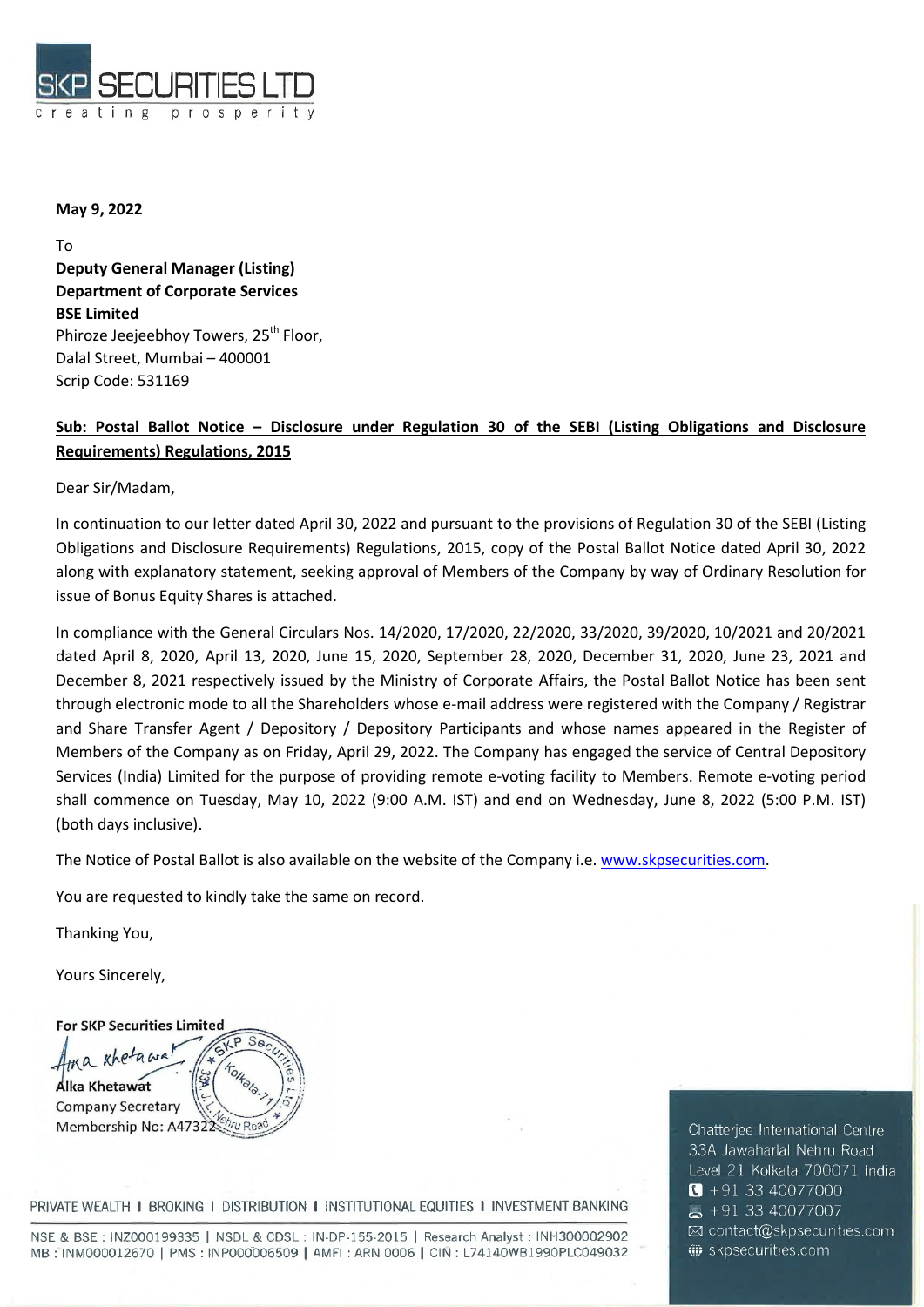

## May 9, 2022

To Deputy General Manager (Listing) Department of Corporate Services BSE Limited Phiroze Jeejeebhoy Towers, 25<sup>th</sup> Floor, Dalal Street, Mumbai – 400001 Scrip Code: 531169

## Sub: Postal Ballot Notice – Disclosure under Regulation 30 of the SEBI (Listing Obligations and Disclosure Requirements) Regulations, 2015

Dear Sir/Madam,

In continuation to our letter dated April 30, 2022 and pursuant to the provisions of Regulation 30 of the SEBI (Listing Obligations and Disclosure Requirements) Regulations, 2015, copy of the Postal Ballot Notice dated April 30, 2022 along with explanatory statement, seeking approval of Members of the Company by way of Ordinary Resolution for issue of Bonus Equity Shares is attached.

In compliance with the General Circulars Nos. 14/2020, 17/2020, 22/2020, 33/2020, 39/2020, 10/2021 and 20/2021 dated April 8, 2020, April 13, 2020, June 15, 2020, September 28, 2020, December 31, 2020, June 23, 2021 and December 8, 2021 respectively issued by the Ministry of Corporate Affairs, the Postal Ballot Notice has been sent through electronic mode to all the Shareholders whose e-mail address were registered with the Company / Registrar and Share Transfer Agent / Depository / Depository Participants and whose names appeared in the Register of Members of the Company as on Friday, April 29, 2022. The Company has engaged the service of Central Depository Services (India) Limited for the purpose of providing remote e-voting facility to Members. Remote e-voting period shall commence on Tuesday, May 10, 2022 (9:00 A.M. IST) and end on Wednesday, June 8, 2022 (5:00 P.M. IST) (both days inclusive).

The Notice of Postal Ballot is also available on the website of the Company i.e. www.skpsecurities.com.

You are requested to kindly take the same on record.

Thanking You,

Yours Sincerely,

**For SKP Securities Limited**  $\overline{S}$ Khetawa  $\overline{u}$ Alka Khetawat **Company Secretary** chru Roa Membership No: A47322

PRIVATE WEALTH I BROKING I DISTRIBUTION I INSTITUTIONAL EQUITIES I INVESTMENT BANKING

NSE & BSE: INZ000199335 | NSDL & CDSL: IN-DP-155-2015 | Research Analyst: INH300002902 MB: INM000012670 | PMS: INP000006509 | AMFI: ARN 0006 | CIN: L74140WB1990PLC049032 Chatterjee International Centre 33A Jawaharlal Nehru Road Level 21 Kolkata 700071 India  $\bullet$  +91 33 40077000  $\bullet$  +91 33 40077007 ⊠ contact@skpsecurities.com Skpsecurities.com